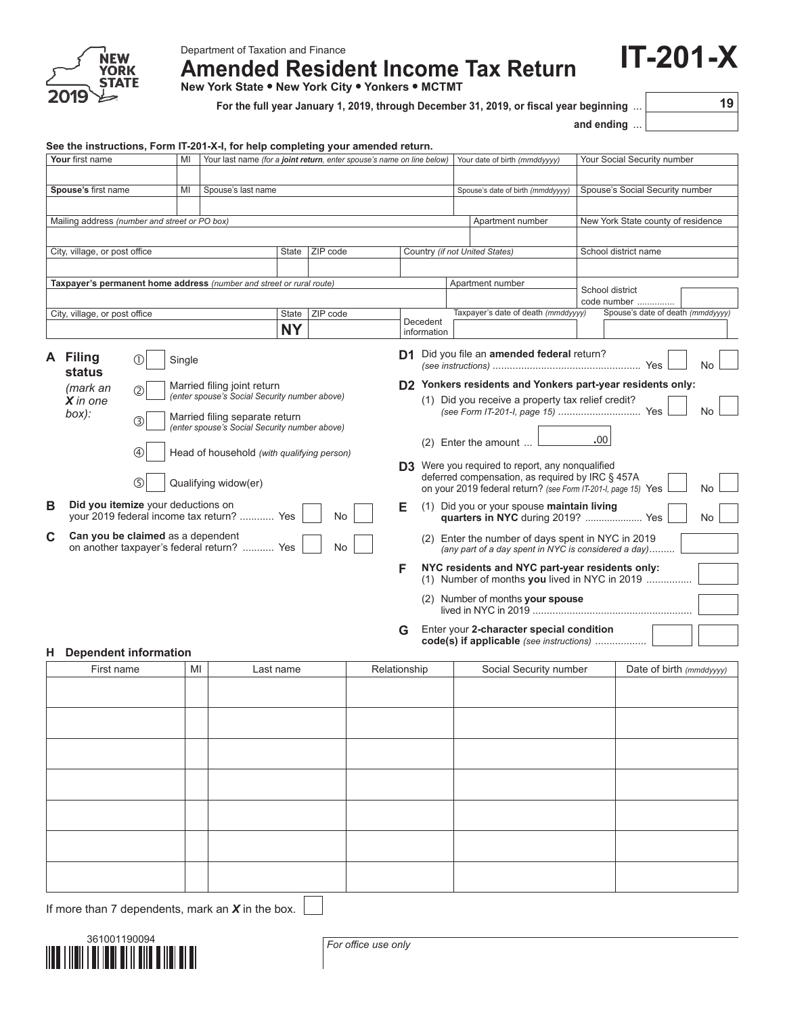

Department of Taxation and Finance

**Amended Resident Income Tax Return**

**New York State • New York City • Yonkers • MCTMT**

**For the full year January 1, 2019, through December 31, 2019, or fiscal year beginning** ... **19**

**and ending** ...

**IT-201-X**

|                                                                                            |                                                                                 |        | See the instructions, Form IT-201-X-I, for help completing your amended return.                                |          |                                                                                       |                                                                                                           |                                                                                                                   | unu vnung … |                                    |     |  |
|--------------------------------------------------------------------------------------------|---------------------------------------------------------------------------------|--------|----------------------------------------------------------------------------------------------------------------|----------|---------------------------------------------------------------------------------------|-----------------------------------------------------------------------------------------------------------|-------------------------------------------------------------------------------------------------------------------|-------------|------------------------------------|-----|--|
|                                                                                            | Your first name                                                                 | MI     | Your last name (for a joint return, enter spouse's name on line below)                                         |          |                                                                                       |                                                                                                           | Your date of birth (mmddyyyy)                                                                                     |             | Your Social Security number        |     |  |
|                                                                                            |                                                                                 |        |                                                                                                                |          |                                                                                       |                                                                                                           |                                                                                                                   |             |                                    |     |  |
|                                                                                            | Spouse's first name                                                             | MI     | Spouse's last name                                                                                             |          |                                                                                       |                                                                                                           | Spouse's date of birth (mmddyyyy)                                                                                 |             | Spouse's Social Security number    |     |  |
|                                                                                            |                                                                                 |        |                                                                                                                |          |                                                                                       |                                                                                                           |                                                                                                                   |             |                                    |     |  |
|                                                                                            | Mailing address (number and street or PO box)                                   |        |                                                                                                                |          |                                                                                       |                                                                                                           | Apartment number                                                                                                  |             | New York State county of residence |     |  |
|                                                                                            | City, village, or post office                                                   |        | State                                                                                                          | ZIP code |                                                                                       |                                                                                                           | Country (if not United States)                                                                                    |             | School district name               |     |  |
|                                                                                            |                                                                                 |        |                                                                                                                |          |                                                                                       |                                                                                                           |                                                                                                                   |             |                                    |     |  |
|                                                                                            |                                                                                 |        | Taxpayer's permanent home address (number and street or rural route)                                           |          |                                                                                       |                                                                                                           | Apartment number                                                                                                  |             |                                    |     |  |
|                                                                                            |                                                                                 |        |                                                                                                                |          |                                                                                       |                                                                                                           |                                                                                                                   |             | School district<br>code number     |     |  |
|                                                                                            | City, village, or post office                                                   |        | State                                                                                                          | ZIP code |                                                                                       |                                                                                                           | Taxpayer's date of death (mmddyyyy)                                                                               |             | Spouse's date of death (mmddyyyy)  |     |  |
|                                                                                            |                                                                                 |        | <b>NY</b>                                                                                                      |          | Decedent<br>information                                                               |                                                                                                           |                                                                                                                   |             |                                    |     |  |
|                                                                                            | A Filing<br>status                                                              | Single |                                                                                                                |          |                                                                                       |                                                                                                           | D1 Did you file an amended federal return?<br>D2 Yonkers residents and Yonkers part-year residents only:          |             |                                    | No. |  |
|                                                                                            | (mark an<br>(2)<br>$X$ in one<br>box):<br>③                                     |        | Married filing joint return<br>(enter spouse's Social Security number above)<br>Married filing separate return |          |                                                                                       |                                                                                                           | (1) Did you receive a property tax relief credit?                                                                 |             |                                    | No. |  |
|                                                                                            | 4                                                                               |        | (enter spouse's Social Security number above)<br>Head of household (with qualifying person)                    |          |                                                                                       |                                                                                                           | $(2)$ Enter the amount<br><b>D3</b> Were you required to report, any nongualified                                 | .00         |                                    |     |  |
|                                                                                            | (5)                                                                             |        | Qualifying widow(er)                                                                                           |          |                                                                                       |                                                                                                           | deferred compensation, as required by IRC § 457A<br>on your 2019 federal return? (see Form IT-201-I, page 15) Yes |             |                                    | No  |  |
| B<br>Did you itemize your deductions on<br>your 2019 federal income tax return?  Yes<br>No |                                                                                 |        |                                                                                                                | Е        | (1) Did you or your spouse maintain living<br>quarters in NYC during 2019?  Yes<br>No |                                                                                                           |                                                                                                                   |             |                                    |     |  |
| C                                                                                          | Can you be claimed as a dependent<br>on another taxpayer's federal return?  Yes |        |                                                                                                                | No       |                                                                                       | (2) Enter the number of days spent in NYC in 2019<br>(any part of a day spent in NYC is considered a day) |                                                                                                                   |             |                                    |     |  |
|                                                                                            |                                                                                 |        |                                                                                                                |          | F                                                                                     | NYC residents and NYC part-year residents only:<br>(1) Number of months you lived in NYC in 2019          |                                                                                                                   |             |                                    |     |  |
|                                                                                            |                                                                                 |        |                                                                                                                |          |                                                                                       |                                                                                                           | (2) Number of months your spouse                                                                                  |             |                                    |     |  |
|                                                                                            |                                                                                 |        |                                                                                                                |          | G                                                                                     |                                                                                                           | Enter your 2-character special condition<br>code(s) if applicable (see instructions)                              |             |                                    |     |  |
| Н.                                                                                         | <b>Dependent information</b><br>First name                                      | MI     | Last name                                                                                                      |          | Relationship                                                                          |                                                                                                           | Social Security number                                                                                            |             | Date of birth (mmddyyyy)           |     |  |
|                                                                                            |                                                                                 |        |                                                                                                                |          |                                                                                       |                                                                                                           |                                                                                                                   |             |                                    |     |  |
|                                                                                            |                                                                                 |        |                                                                                                                |          |                                                                                       |                                                                                                           |                                                                                                                   |             |                                    |     |  |
|                                                                                            |                                                                                 |        |                                                                                                                |          |                                                                                       |                                                                                                           |                                                                                                                   |             |                                    |     |  |
|                                                                                            |                                                                                 |        |                                                                                                                |          |                                                                                       |                                                                                                           |                                                                                                                   |             |                                    |     |  |
|                                                                                            |                                                                                 |        |                                                                                                                |          |                                                                                       |                                                                                                           |                                                                                                                   |             |                                    |     |  |
|                                                                                            |                                                                                 |        |                                                                                                                |          |                                                                                       |                                                                                                           |                                                                                                                   |             |                                    |     |  |
|                                                                                            |                                                                                 |        |                                                                                                                |          |                                                                                       |                                                                                                           |                                                                                                                   |             |                                    |     |  |
|                                                                                            |                                                                                 |        |                                                                                                                |          |                                                                                       |                                                                                                           |                                                                                                                   |             |                                    |     |  |
|                                                                                            |                                                                                 |        |                                                                                                                |          |                                                                                       |                                                                                                           |                                                                                                                   |             |                                    |     |  |
|                                                                                            |                                                                                 |        |                                                                                                                |          |                                                                                       |                                                                                                           |                                                                                                                   |             |                                    |     |  |
|                                                                                            |                                                                                 |        |                                                                                                                |          |                                                                                       |                                                                                                           |                                                                                                                   |             |                                    |     |  |
|                                                                                            |                                                                                 |        |                                                                                                                |          |                                                                                       |                                                                                                           |                                                                                                                   |             |                                    |     |  |
|                                                                                            |                                                                                 |        |                                                                                                                |          |                                                                                       |                                                                                                           |                                                                                                                   |             |                                    |     |  |
|                                                                                            |                                                                                 |        |                                                                                                                |          |                                                                                       |                                                                                                           |                                                                                                                   |             |                                    |     |  |

If more than 7 dependents, mark an *X* in the box.



*For office use only*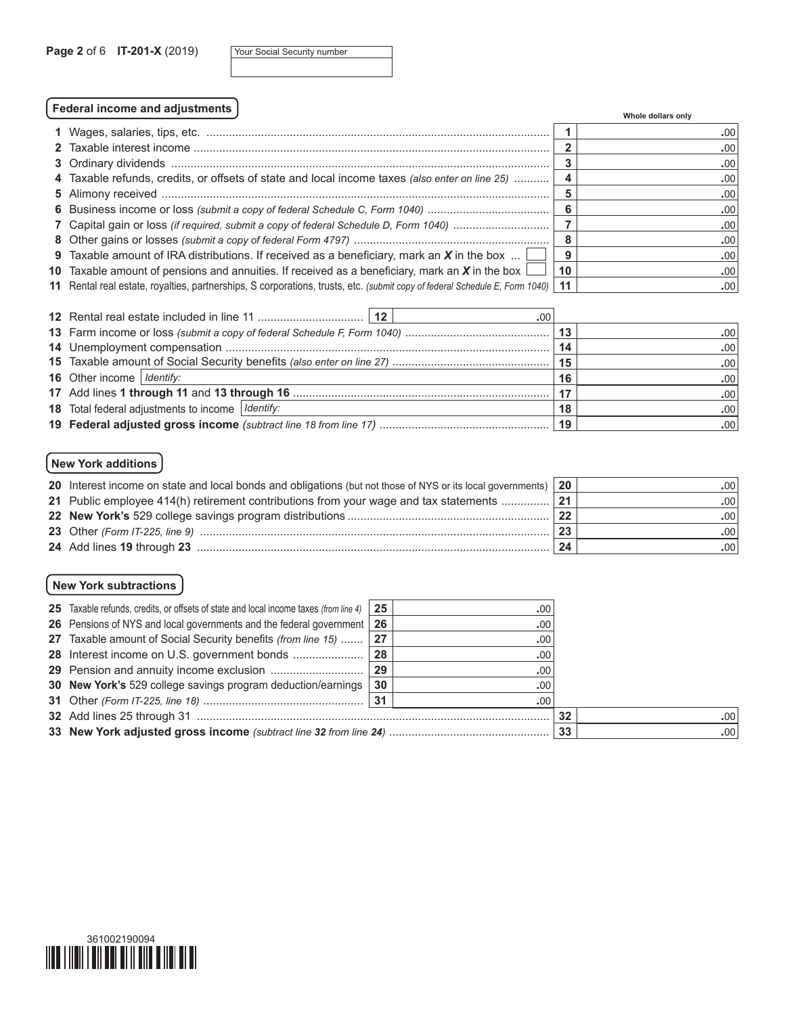|  | Your Social Security number |
|--|-----------------------------|
|  |                             |

# **Federal income and adjustments Whole dollars only**

|                                                                                                                             |    | <b>VILLUITE GUILAIS UILLV</b> |
|-----------------------------------------------------------------------------------------------------------------------------|----|-------------------------------|
|                                                                                                                             |    | .00 <sub>1</sub>              |
|                                                                                                                             |    | .00 <sub>1</sub>              |
|                                                                                                                             |    | .00                           |
| 4 Taxable refunds, credits, or offsets of state and local income taxes (also enter on line 25)                              |    | .00 <sub>1</sub>              |
|                                                                                                                             |    | .00 <sub>1</sub>              |
|                                                                                                                             |    | .00                           |
| 7 Capital gain or loss (if required, submit a copy of federal Schedule D, Form 1040)                                        |    | .00                           |
|                                                                                                                             | 8  | .00                           |
| 9 Taxable amount of IRA distributions. If received as a beneficiary, mark an $X$ in the box                                 | 9  | .00                           |
| 10 Taxable amount of pensions and annuities. If received as a beneficiary, mark an X in the box $\lfloor$                   | 10 | .00                           |
| 11 Rental real estate, royalties, partnerships, S corporations, trusts, etc. (submit copy of federal Schedule E, Form 1040) | 11 | .00                           |

| .00                                                       |    |                  |
|-----------------------------------------------------------|----|------------------|
|                                                           |    | .00 <sub>1</sub> |
|                                                           | 14 | .00 <sub>1</sub> |
|                                                           |    | .00 <sub>1</sub> |
| <b>16</b> Other income   Identify:                        | 16 | .00 <sub>1</sub> |
|                                                           | 17 | .00 <sub>1</sub> |
| <b>18</b> Total federal adjustments to income   Identify: | 18 | .00              |
|                                                           |    | .00 <sub>1</sub> |

## **New York additions**

| 20 Interest income on state and local bonds and obligations (but not those of NYS or its local governments) 20 |             | .00 <sub>1</sub> |
|----------------------------------------------------------------------------------------------------------------|-------------|------------------|
| 21 Public employee 414(h) retirement contributions from your wage and tax statements                           | $\sqrt{21}$ | .00 <sub>1</sub> |
|                                                                                                                | 22          | .00 <sub>1</sub> |
|                                                                                                                | 23          | .00              |
|                                                                                                                | 24          | .00 <sub>1</sub> |

## **New York subtractions**

| 25 Taxable refunds, credits, or offsets of state and local income taxes (from line 4) | 25 | .00 <sub>1</sub> |    |                  |
|---------------------------------------------------------------------------------------|----|------------------|----|------------------|
| 26 Pensions of NYS and local governments and the federal government 26                |    | $.00 \cdot$      |    |                  |
| 27 Taxable amount of Social Security benefits (from line 15)  27                      |    | .00              |    |                  |
| 28 Interest income on U.S. government bonds                                           | 28 | .00              |    |                  |
| 29 Pension and annuity income exclusion                                               | 29 | .00              |    |                  |
| 30 New York's 529 college savings program deduction/earnings                          | 30 | .00              |    |                  |
|                                                                                       |    | .00.             |    |                  |
|                                                                                       |    |                  | 32 | .001             |
|                                                                                       |    |                  | 33 | .00 <sub>1</sub> |

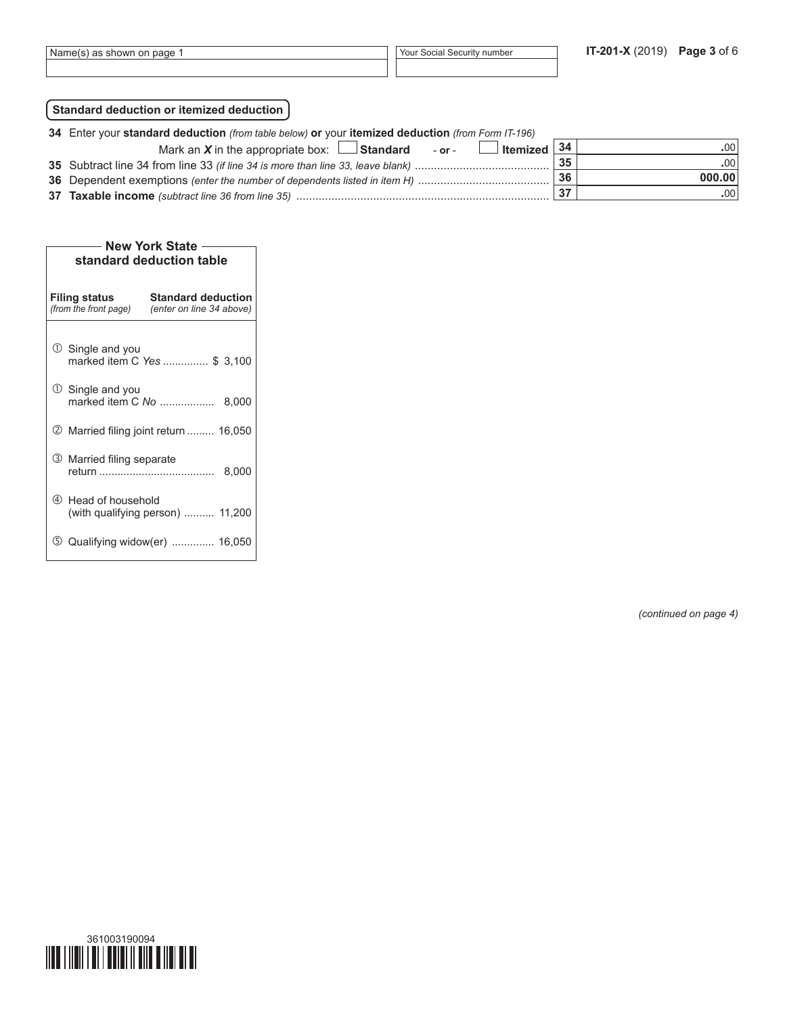## **Standard deduction or itemized deduction**

| 34 Enter your standard deduction (from table below) or your itemized deduction (from Form IT-196) |    |        |  |  |  |
|---------------------------------------------------------------------------------------------------|----|--------|--|--|--|
| $\Box$ Itemized $\vert$ 34<br>Mark an $X$ in the appropriate box: $\Box$ Standard - or -          |    | .00    |  |  |  |
|                                                                                                   | 35 | -00    |  |  |  |
|                                                                                                   | 36 | 000.00 |  |  |  |
|                                                                                                   |    | -00    |  |  |  |

| <b>New York State</b><br>standard deduction table                                                      |                                  |  |  |  |  |  |  |
|--------------------------------------------------------------------------------------------------------|----------------------------------|--|--|--|--|--|--|
| <b>Standard deduction</b><br><b>Filing status</b><br>(from the front page)<br>(enter on line 34 above) |                                  |  |  |  |  |  |  |
| $\mathbb O$ Single and you                                                                             | marked item C Yes  \$ 3,100      |  |  |  |  |  |  |
| $\cup$ Single and you<br>marked item C No                                                              | 8,000                            |  |  |  |  |  |  |
| <b>② Married filing joint return  16,050</b>                                                           |                                  |  |  |  |  |  |  |
| 3 Married filing separate                                                                              | 8,000                            |  |  |  |  |  |  |
| 4 Head of household                                                                                    | (with qualifying person)  11,200 |  |  |  |  |  |  |
| (5)                                                                                                    | Qualifying widow(er)  16,050     |  |  |  |  |  |  |

*(continued on page 4)*

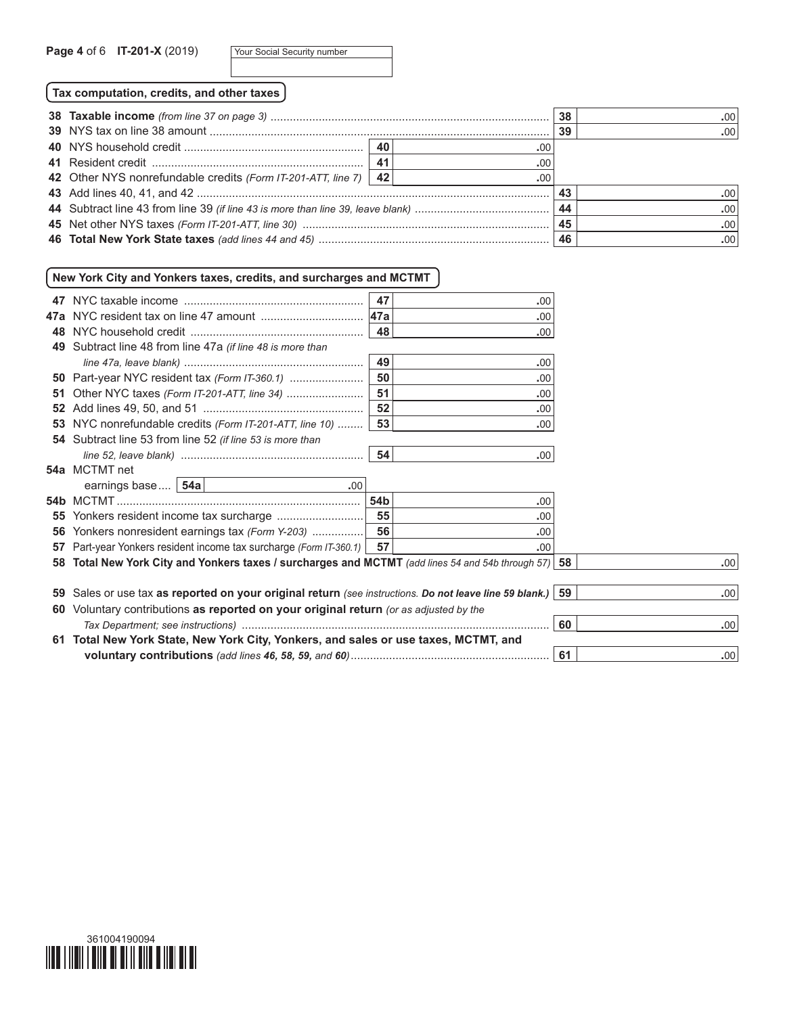**Tax computation, credits, and other taxes**

|                                                                   |     | -38 | .001 |
|-------------------------------------------------------------------|-----|-----|------|
|                                                                   |     | 39  | .001 |
|                                                                   | .00 |     |      |
|                                                                   | .00 |     |      |
| 42 Other NYS nonrefundable credits (Form IT-201-ATT, line 7)   42 | .00 |     |      |
|                                                                   |     | -43 | -001 |
|                                                                   |     | 44  | .001 |
|                                                                   |     |     | .001 |
|                                                                   |     |     | .001 |

## **New York City and Yonkers taxes, credits, and surcharges and MCTMT**

|     |                                                                                                      | 47         | .00 |    |                  |
|-----|------------------------------------------------------------------------------------------------------|------------|-----|----|------------------|
|     |                                                                                                      | <b>47a</b> | .00 |    |                  |
| 48. |                                                                                                      | 48         | .00 |    |                  |
|     | 49 Subtract line 48 from line 47a (if line 48 is more than                                           |            |     |    |                  |
|     |                                                                                                      | 49         | .00 |    |                  |
|     | <b>50</b> Part-year NYC resident tax (Form IT-360.1)                                                 | 50         | .00 |    |                  |
| 51  |                                                                                                      | 51         | .00 |    |                  |
|     |                                                                                                      | 52         | .00 |    |                  |
|     | 53 NYC nonrefundable credits (Form IT-201-ATT, line 10)                                              | 53         | .00 |    |                  |
|     | 54 Subtract line 53 from line 52 (if line 53 is more than                                            |            |     |    |                  |
|     |                                                                                                      | 54         | .00 |    |                  |
|     | 54a MCTMT net                                                                                        |            |     |    |                  |
|     | earnings base   54a  <br>.00.                                                                        |            |     |    |                  |
|     |                                                                                                      | 54b        | .00 |    |                  |
|     |                                                                                                      | 55         | .00 |    |                  |
|     | <b>56</b> Yonkers nonresident earnings tax (Form Y-203)                                              | 56         | .00 |    |                  |
|     | 57 Part-year Yonkers resident income tax surcharge (Form IT-360.1)                                   | 57         | .00 |    |                  |
|     | 58 Total New York City and Yonkers taxes / surcharges and MCTMT (add lines 54 and 54b through 57) 58 |            |     |    | .00              |
|     |                                                                                                      |            |     |    |                  |
| 59  | Sales or use tax as reported on your original return (see instructions. Do not leave line 59 blank.) |            |     | 59 | .00 <sub>1</sub> |
|     | 60 Voluntary contributions as reported on your original return (or as adjusted by the                |            |     |    |                  |
|     |                                                                                                      |            |     | 60 | .00 <sub>1</sub> |
|     | 61 Total New York State, New York City, Yonkers, and sales or use taxes, MCTMT, and                  |            |     |    |                  |
|     |                                                                                                      |            |     | 61 | .00              |
|     |                                                                                                      |            |     |    |                  |

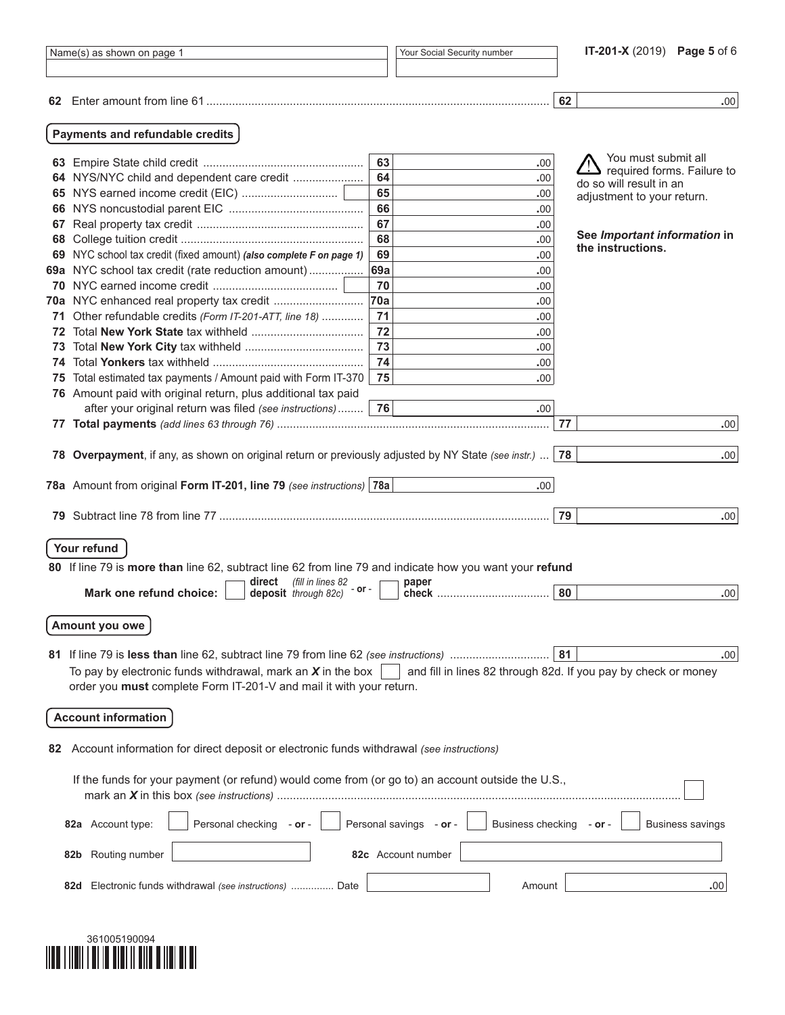|     | Name(s) as shown on page 1                                                                                                           |     | Your Social Security number                                    |    | IT-201-X (2019) Page 5 of 6                           |
|-----|--------------------------------------------------------------------------------------------------------------------------------------|-----|----------------------------------------------------------------|----|-------------------------------------------------------|
|     |                                                                                                                                      |     |                                                                |    |                                                       |
|     |                                                                                                                                      |     |                                                                | 62 | .00.                                                  |
|     | Payments and refundable credits                                                                                                      |     |                                                                |    |                                                       |
|     |                                                                                                                                      | 63  | .00                                                            |    | You must submit all                                   |
|     | 64 NYS/NYC child and dependent care credit                                                                                           | 64  | .00                                                            |    | required forms. Failure to<br>do so will result in an |
|     |                                                                                                                                      | 65  | .00                                                            |    | adjustment to your return.                            |
|     |                                                                                                                                      | 66  | .00                                                            |    |                                                       |
| 67  |                                                                                                                                      | 67  | .00                                                            |    |                                                       |
|     |                                                                                                                                      | 68  | .00                                                            |    | See Important information in<br>the instructions.     |
|     | 69 NYC school tax credit (fixed amount) (also complete F on page 1)                                                                  | 69  | .00                                                            |    |                                                       |
|     | 69a NYC school tax credit (rate reduction amount)                                                                                    | 69a | .00                                                            |    |                                                       |
|     |                                                                                                                                      | 70  | .00                                                            |    |                                                       |
|     | 70a NYC enhanced real property tax credit                                                                                            | 70a | .00                                                            |    |                                                       |
|     | 71 Other refundable credits (Form IT-201-ATT, line 18)                                                                               | 71  | .00                                                            |    |                                                       |
|     |                                                                                                                                      | 72  | .00                                                            |    |                                                       |
| 73  |                                                                                                                                      | 73  | .00                                                            |    |                                                       |
| 74  |                                                                                                                                      | 74  | .00                                                            |    |                                                       |
| 75  | Total estimated tax payments / Amount paid with Form IT-370                                                                          | 75  | .00                                                            |    |                                                       |
|     | 76 Amount paid with original return, plus additional tax paid                                                                        | 76  |                                                                |    |                                                       |
|     | after your original return was filed (see instructions)                                                                              |     | .00                                                            | 77 | .00.                                                  |
|     |                                                                                                                                      |     |                                                                |    |                                                       |
|     | 78 Overpayment, if any, as shown on original return or previously adjusted by NY State (see instr.)                                  |     |                                                                | 78 | .00.                                                  |
|     | 78a Amount from original Form IT-201, line 79 (see instructions) 78a                                                                 |     | .00.                                                           |    |                                                       |
| 79. |                                                                                                                                      |     |                                                                | 79 | .00.                                                  |
|     |                                                                                                                                      |     |                                                                |    |                                                       |
|     | Your refund                                                                                                                          |     |                                                                |    |                                                       |
|     | 80 If line 79 is more than line 62, subtract line 62 from line 79 and indicate how you want your refund                              |     |                                                                |    |                                                       |
|     | (fill in lines 82<br>direct<br>- or -                                                                                                |     | paper                                                          |    |                                                       |
|     | Mark one refund choice:<br>deposit through 82c)                                                                                      |     |                                                                | 80 | .00.                                                  |
|     | Amount you owe                                                                                                                       |     |                                                                |    |                                                       |
|     |                                                                                                                                      |     |                                                                |    |                                                       |
|     |                                                                                                                                      |     |                                                                | 81 | .00.                                                  |
|     | To pay by electronic funds withdrawal, mark an $X$ in the box<br>order you must complete Form IT-201-V and mail it with your return. |     | and fill in lines 82 through 82d. If you pay by check or money |    |                                                       |
|     | <b>Account information</b>                                                                                                           |     |                                                                |    |                                                       |
|     |                                                                                                                                      |     |                                                                |    |                                                       |
| 82  | Account information for direct deposit or electronic funds withdrawal (see instructions)                                             |     |                                                                |    |                                                       |
|     | If the funds for your payment (or refund) would come from (or go to) an account outside the U.S.,                                    |     |                                                                |    |                                                       |
|     | Personal checking - or -<br>82a Account type:                                                                                        |     | Personal savings - or -<br><b>Business checking</b>            |    | <b>Business savings</b><br>– or –                     |
|     | Routing number<br>82b                                                                                                                |     | 82c Account number                                             |    |                                                       |
|     | Electronic funds withdrawal (see instructions)  Date<br>82d                                                                          |     | Amount                                                         |    | .00                                                   |